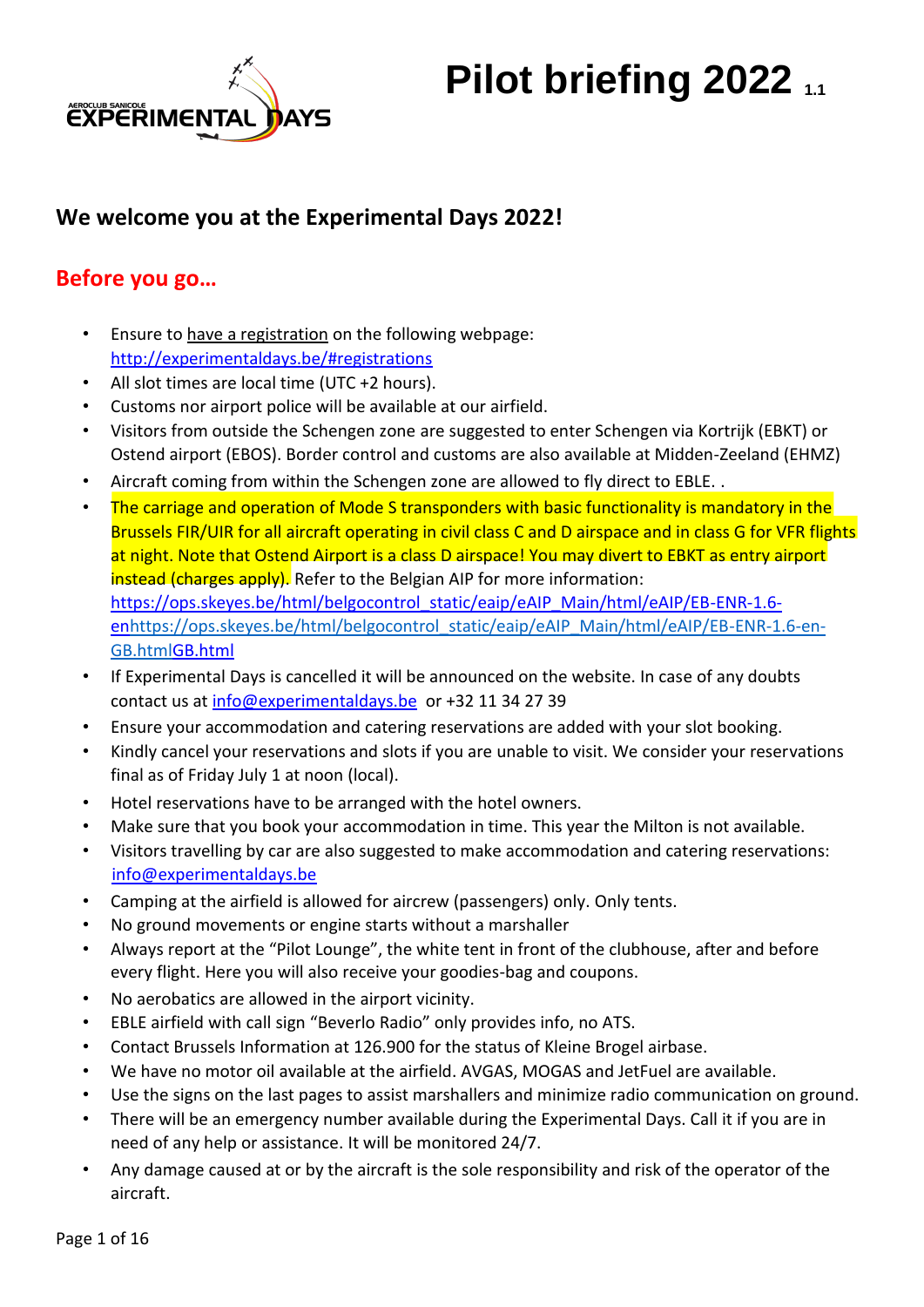

# **Pilot briefing 2022** 1.1

## **We welcome you at the Experimental Days 2022!**

## **Before you go…**

- Ensure to have a registration on the following webpage: <http://experimentaldays.be/#registrations>
- All slot times are local time (UTC +2 hours).
- Customs nor airport police will be available at our airfield.
- Visitors from outside the Schengen zone are suggested to enter Schengen via Kortrijk (EBKT) or Ostend airport (EBOS). Border control and customs are also available at Midden-Zeeland (EHMZ)
- Aircraft coming from within the Schengen zone are allowed to fly direct to EBLE. [.](http://www.luchtvaartpolitie-oostende.be/Shengen.html)
- The carriage and operation of Mode S transponders with basic functionality is mandatory in the Brussels FIR/UIR for all aircraft operating in civil class C and D airspace and in class G for VFR flights at night. Note that Ostend Airport is a class D airspace! You may divert to EBKT as entry airport instead (charges apply). Refer to the Belgian AIP for more information: [https://ops.skeyes.be/html/belgocontrol\\_static/eaip/eAIP\\_Main/html/eAIP/EB-ENR-1.6](https://ops.skeyes.be/html/belgocontrol_static/eaip/eAIP_Main/html/eAIP/EB-ENR-1.6-en-GB.html) [enhttps://ops.skeyes.be/html/belgocontrol\\_static/eaip/eAIP\\_Main/html/eAIP/EB-ENR-1.6-en-](https://ops.skeyes.be/html/belgocontrol_static/eaip/eAIP_Main/html/eAIP/EB-ENR-1.6-en-GB.html)[GB.htmlGB.html](https://ops.skeyes.be/html/belgocontrol_static/eaip/eAIP_Main/html/eAIP/EB-ENR-1.6-en-GB.html)
- If Experimental Days is cancelled it will be announced on the website. In case of any doubts contact us at info@experimentaldays.be or +32 11 34 27 39
- Ensure your accommodation and catering reservations are added with your slot booking.
- Kindly cancel your reservations and slots if you are unable to visit. We consider your reservations final as of Friday July 1 at noon (local).
- Hotel reservations have to be arranged with the hotel owners.
- Make sure that you book your accommodation in time. This year the Milton is not available.
- Visitors travelling by car are also suggested to make accommodation and catering reservations: info@experimentaldays.be
- Camping at the airfield is allowed for aircrew (passengers) only. Only tents.
- No ground movements or engine starts without a marshaller
- Always report at the "Pilot Lounge", the white tent in front of the clubhouse, after and before every flight. Here you will also receive your goodies-bag and coupons.
- No aerobatics are allowed in the airport vicinity.
- EBLE airfield with call sign "Beverlo Radio" only provides info, no ATS.
- Contact Brussels Information at 126.900 for the status of Kleine Brogel airbase.
- We have no motor oil available at the airfield. AVGAS, MOGAS and JetFuel are available.
- Use the signs on the last pages to assist marshallers and minimize radio communication on ground.
- There will be an emergency number available during the Experimental Days. Call it if you are in need of any help or assistance. It will be monitored 24/7.
- Any damage caused at or by the aircraft is the sole responsibility and risk of the operator of the aircraft.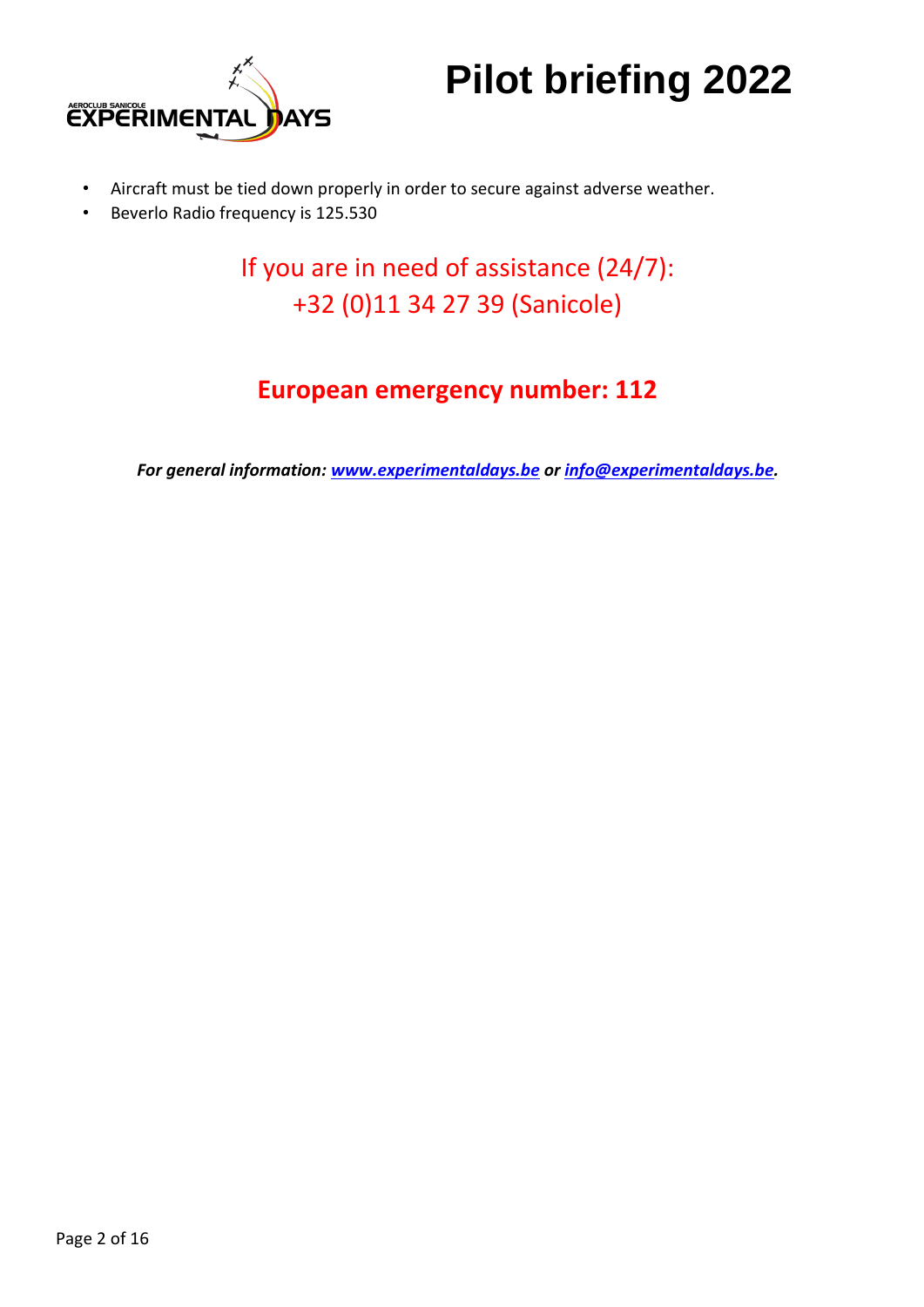

- Aircraft must be tied down properly in order to secure against adverse weather.
- Beverlo Radio frequency is 125.530

If you are in need of assistance (24/7): +32 (0)11 34 27 39 (Sanicole)

## **European emergency number: 112**

*For general information: [www.experimentaldays.be](http://www.experimentaldays.be/) [o](http://www.experimentaldays.be/)r info@experimentaldays.be.*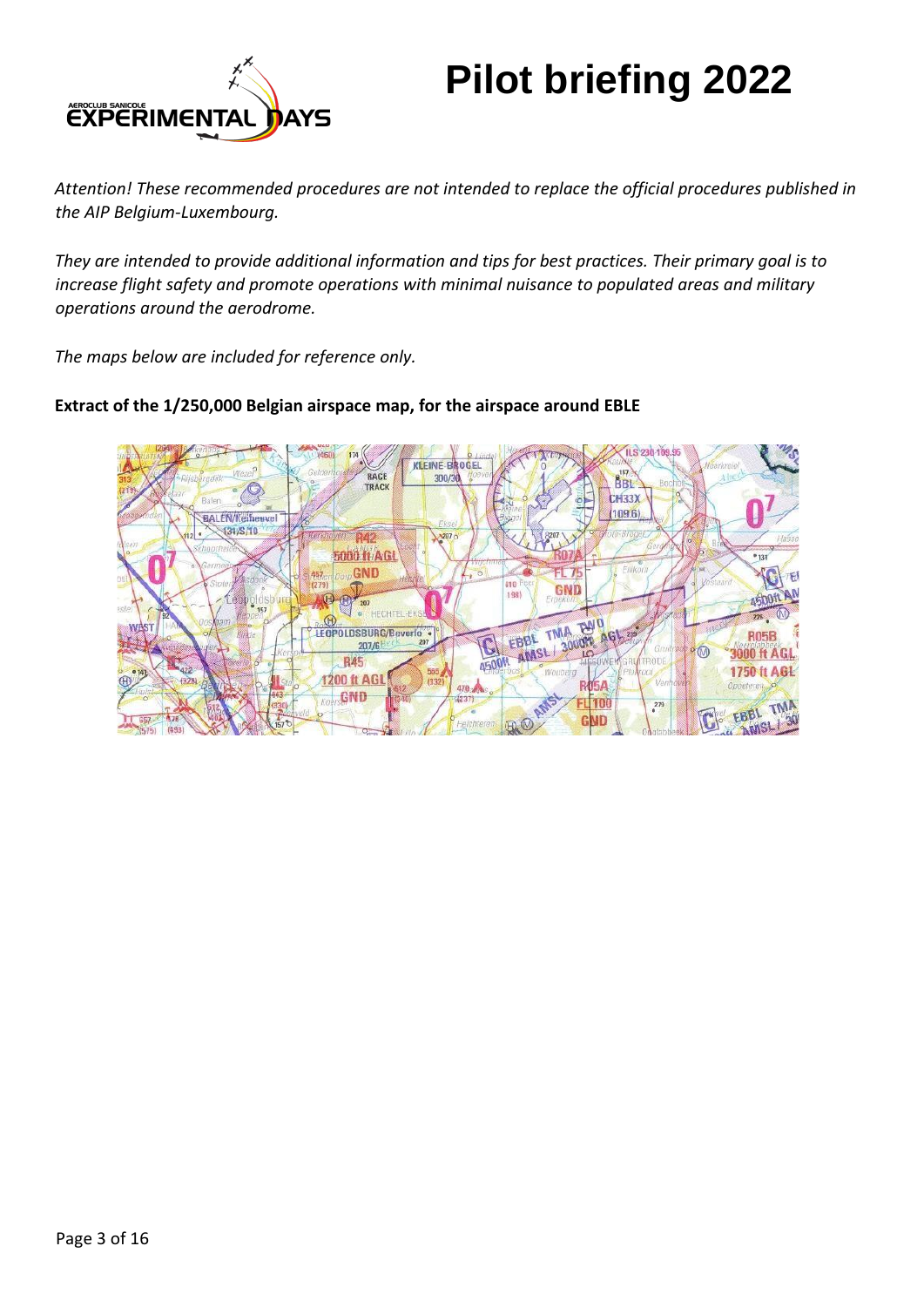

*Attention! These recommended procedures are not intended to replace the official procedures published in the AIP Belgium-Luxembourg.* 

*They are intended to provide additional information and tips for best practices. Their primary goal is to increase flight safety and promote operations with minimal nuisance to populated areas and military operations around the aerodrome.* 

*The maps below are included for reference only.* 



### **Extract of the 1/250,000 Belgian airspace map, for the airspace around EBLE**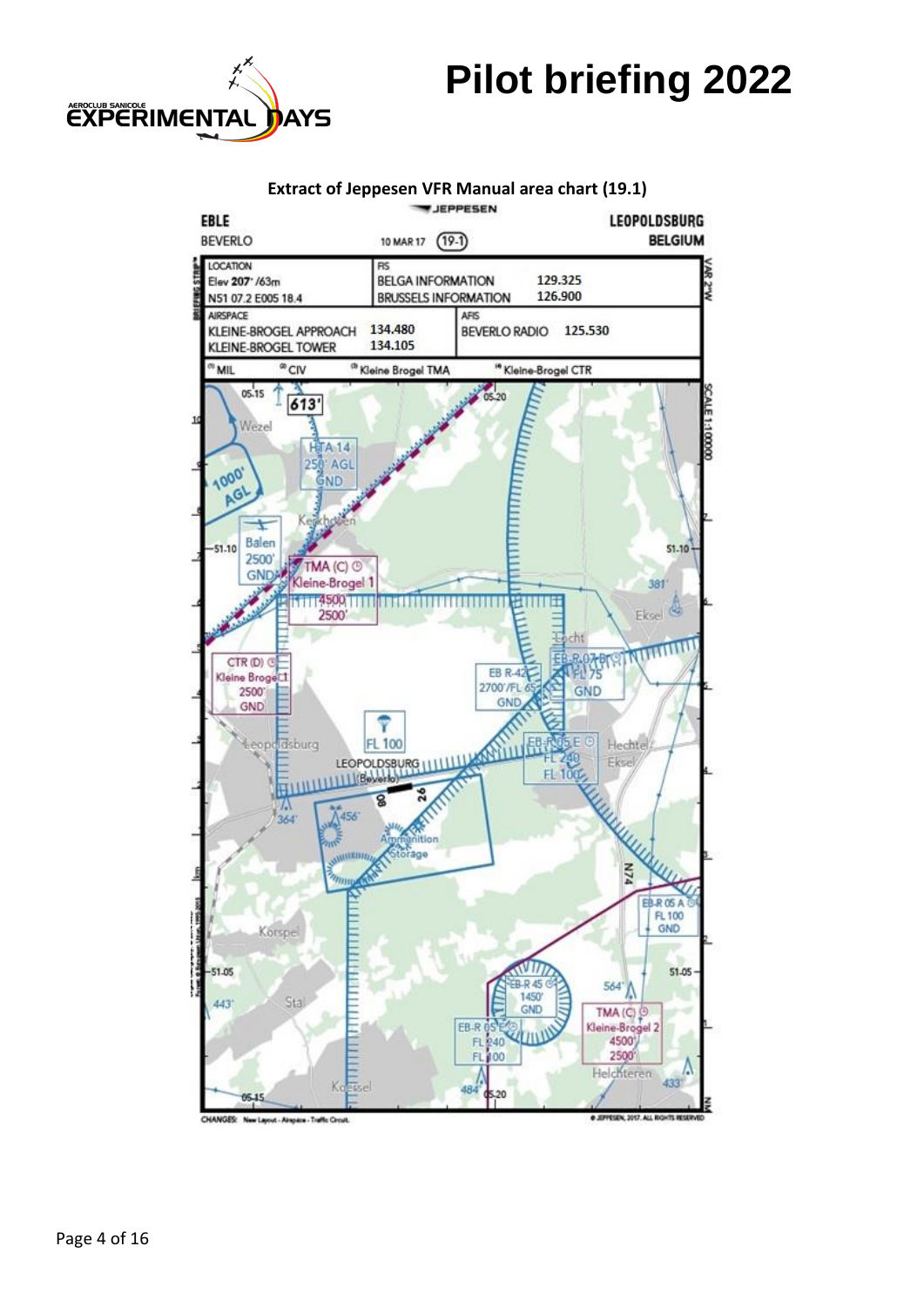

#### **Extract of Jeppesen VFR Manual area chart (19.1)**

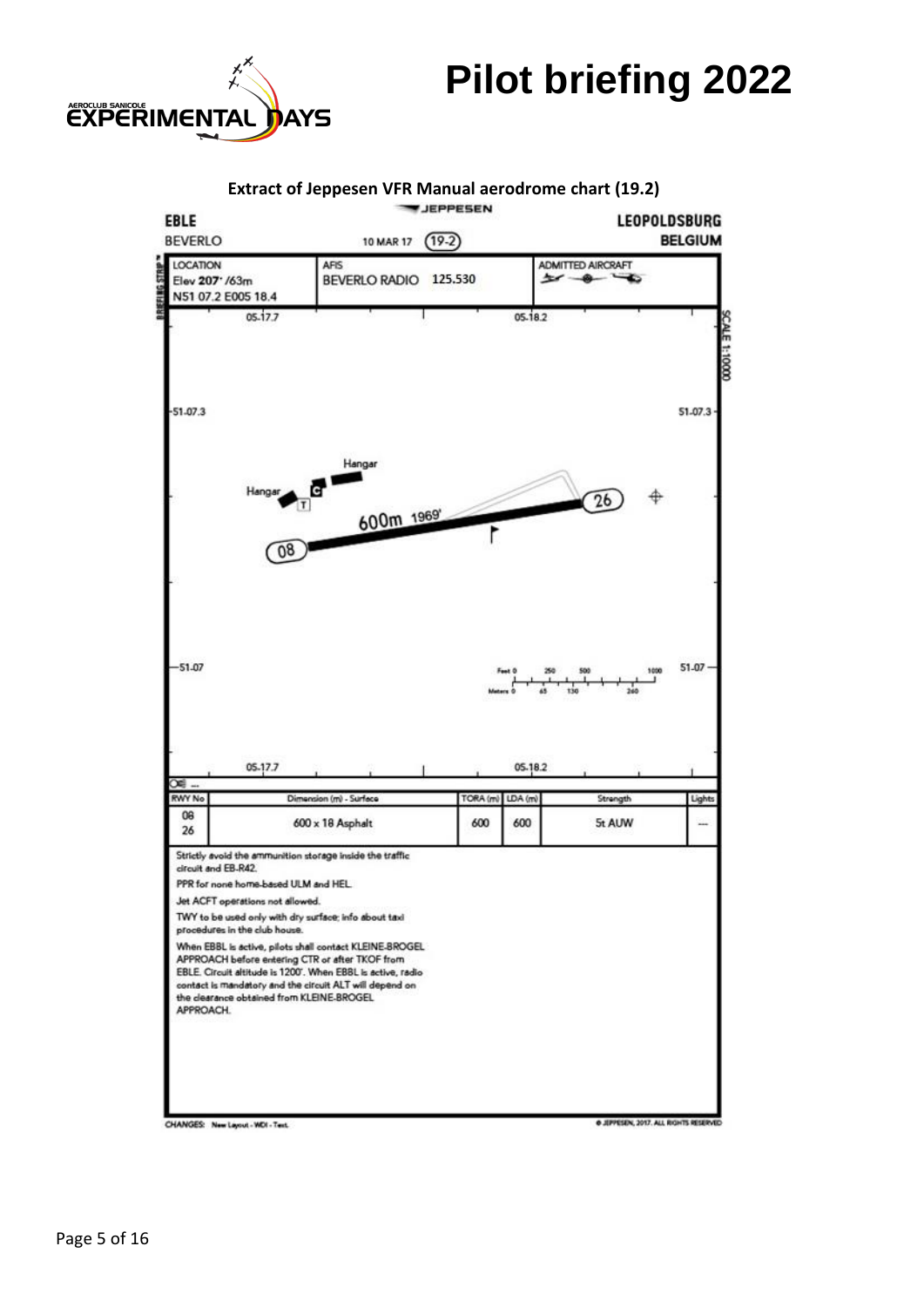

#### **Extract of Jeppesen VFR Manual aerodrome chart (19.2) JEPPESEN** EBLE **LEOPOLDSBURG BEVERLO BELGIUM** 10 MAR 17 (19-2) LOCATION AFIS **ADMITTED AIRCRAFT** BEVERLO RADIO 125.530 Elev 207' /63m ميد  $^{\circ}$ N51 07.2 E005 18.4 05-17.7 05.18.2 **CALE 1:10000**  $-51.07.3$  $51.07.3$ Hangar  $\widehat{26}$ 600m 1969'  $08$  $-51.07$ 51.07 05-17.7 05.18.2 œ RWY No TORA (m) LDA (m) ension (m) - Surface Strength Light 08  $600 \times 18$  Asphalt 600 600 5t AUW  $26$ Strictly avoid the ammunition storage inside the traffic circuit and EB-R42. PPR for none home-based ULM and HEL. Jet ACFT operations not allowed. TWY to be used only with dry surface; info about taxi procedures in the club house. When EBBL is active, pilots shall contact KLEINE-BROGEL APPROACH before entering CTR or after TKOF from EBLE. Circuit altitude is 1200'. When EBBL is active, radio contact is mandatory and the circuit ALT will depend on the dearance obtained from KLEINE-BROGEL APPROACH.

CHANGES: New Layout - WDI - Text.

**6 JIPPESDN, 2017. ALL RIGHTS RE**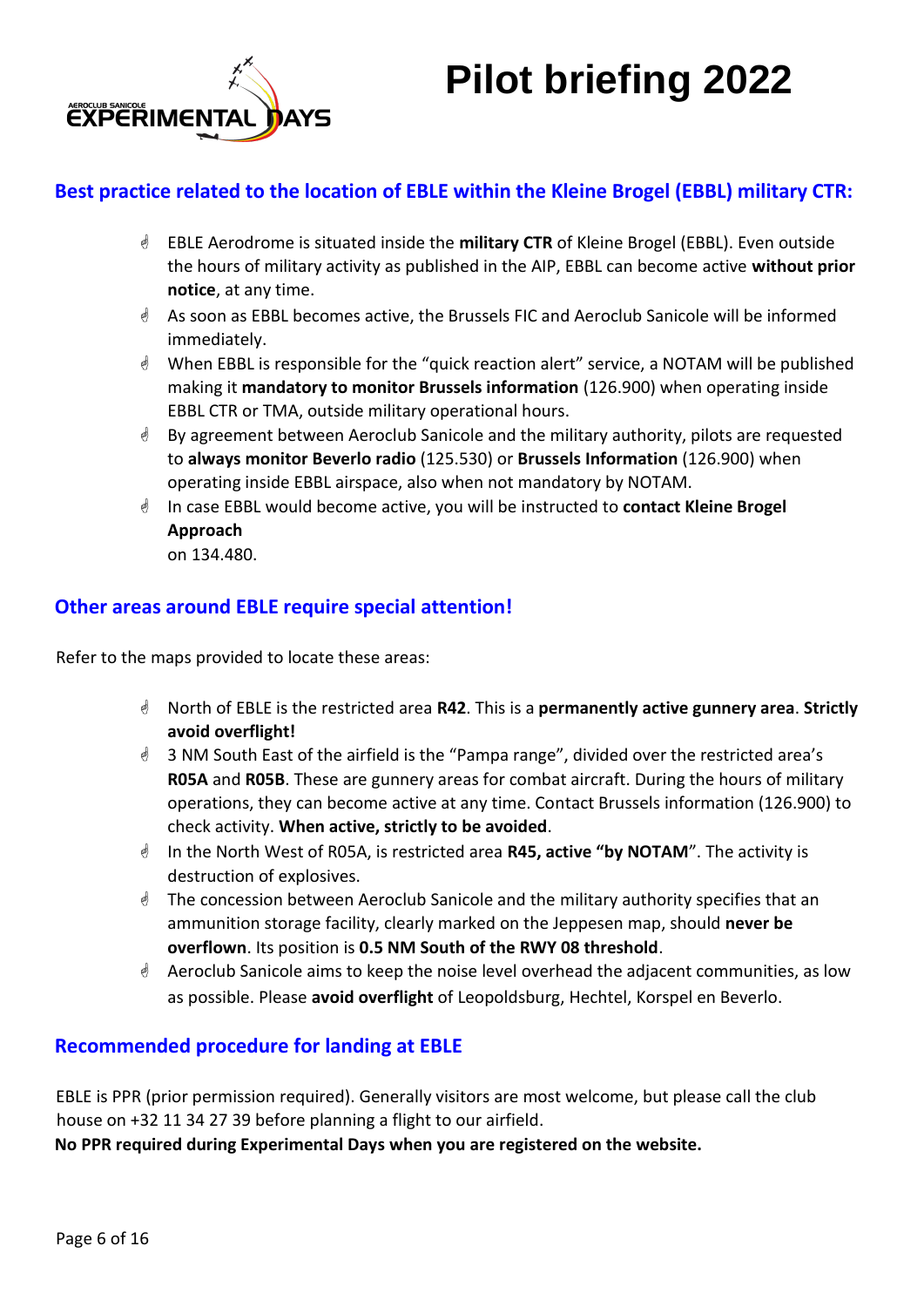



## **Best practice related to the location of EBLE within the Kleine Brogel (EBBL) military CTR:**

- EBLE Aerodrome is situated inside the **military CTR** of Kleine Brogel (EBBL). Even outside the hours of military activity as published in the AIP, EBBL can become active **without prior notice**, at any time.
- As soon as EBBL becomes active, the Brussels FIC and Aeroclub Sanicole will be informed immediately.
- When EBBL is responsible for the "quick reaction alert" service, a NOTAM will be published making it **mandatory to monitor Brussels information** (126.900) when operating inside EBBL CTR or TMA, outside military operational hours.
- By agreement between Aeroclub Sanicole and the military authority, pilots are requested to **always monitor Beverlo radio** (125.530) or **Brussels Information** (126.900) when operating inside EBBL airspace, also when not mandatory by NOTAM.
- In case EBBL would become active, you will be instructed to **contact Kleine Brogel Approach**

on 134.480.

## **Other areas around EBLE require special attention!**

Refer to the maps provided to locate these areas:

- North of EBLE is the restricted area **R42**. This is a **permanently active gunnery area**. **Strictly avoid overflight!**
- 3 NM South East of the airfield is the "Pampa range", divided over the restricted area's **R05A** and **R05B**. These are gunnery areas for combat aircraft. During the hours of military operations, they can become active at any time. Contact Brussels information (126.900) to check activity. **When active, strictly to be avoided**.
- In the North West of R05A, is restricted area **R45, active "by NOTAM**". The activity is destruction of explosives.
- The concession between Aeroclub Sanicole and the military authority specifies that an ammunition storage facility, clearly marked on the Jeppesen map, should **never be overflown**. Its position is **0.5 NM South of the RWY 08 threshold**.
- $\triangleq$  Aeroclub Sanicole aims to keep the noise level overhead the adjacent communities, as low as possible. Please **avoid overflight** of Leopoldsburg, Hechtel, Korspel en Beverlo.

## **Recommended procedure for landing at EBLE**

EBLE is PPR (prior permission required). Generally visitors are most welcome, but please call the club house on +32 11 34 27 39 before planning a flight to our airfield.

**No PPR required during Experimental Days when you are registered on the website.**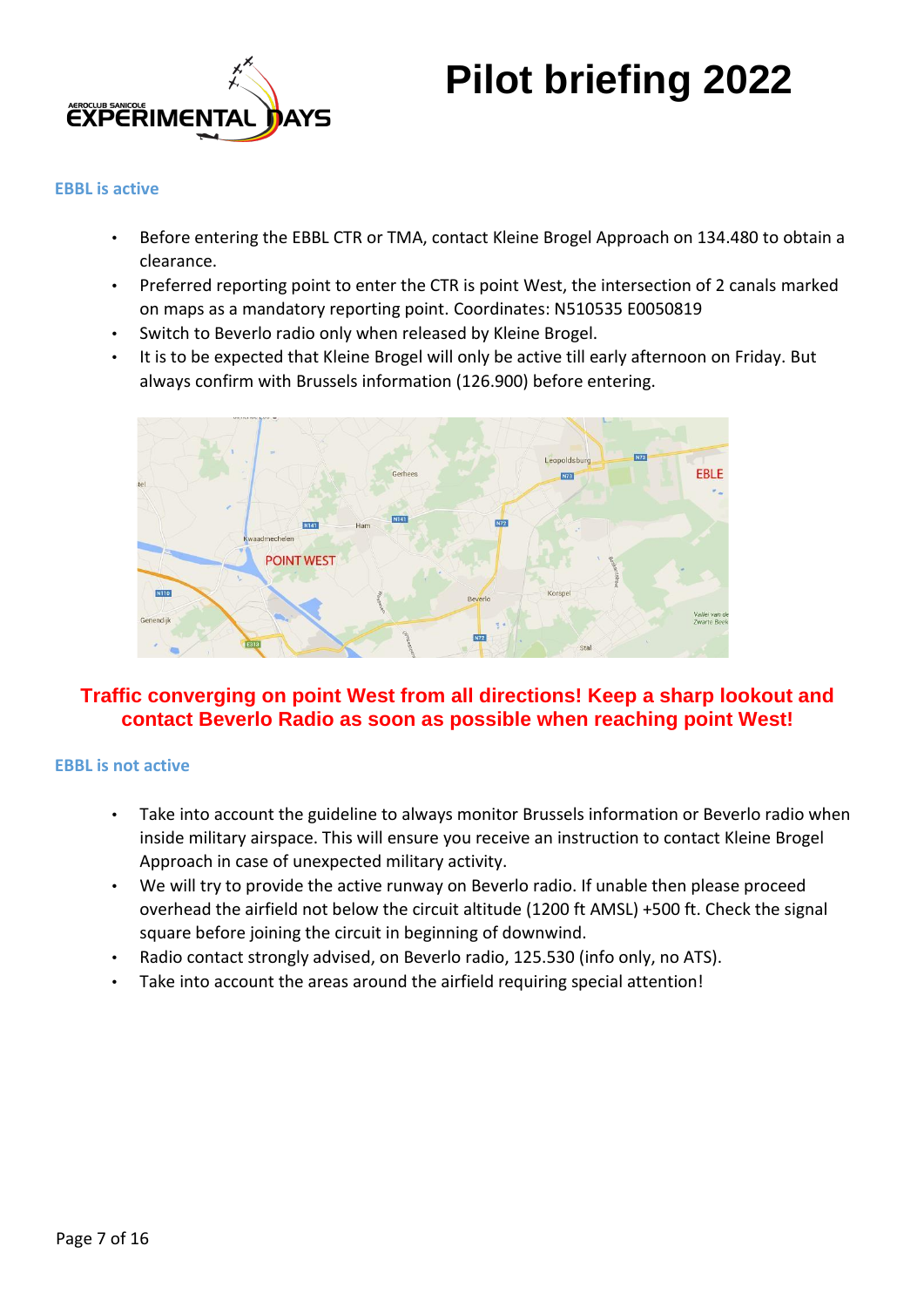

### **EBBL is active**

- Before entering the EBBL CTR or TMA, contact Kleine Brogel Approach on 134.480 to obtain a clearance.
- Preferred reporting point to enter the CTR is point West, the intersection of 2 canals marked on maps as a mandatory reporting point. Coordinates: N510535 E0050819
- Switch to Beverlo radio only when released by Kleine Brogel.
- It is to be expected that Kleine Brogel will only be active till early afternoon on Friday. But always confirm with Brussels information (126.900) before entering.



## **Traffic converging on point West from all directions! Keep a sharp lookout and contact Beverlo Radio as soon as possible when reaching point West!**

### **EBBL is not active**

- Take into account the guideline to always monitor Brussels information or Beverlo radio when inside military airspace. This will ensure you receive an instruction to contact Kleine Brogel Approach in case of unexpected military activity.
- We will try to provide the active runway on Beverlo radio. If unable then please proceed overhead the airfield not below the circuit altitude (1200 ft AMSL) +500 ft. Check the signal square before joining the circuit in beginning of downwind.
- Radio contact strongly advised, on Beverlo radio, 125.530 (info only, no ATS).
- Take into account the areas around the airfield requiring special attention!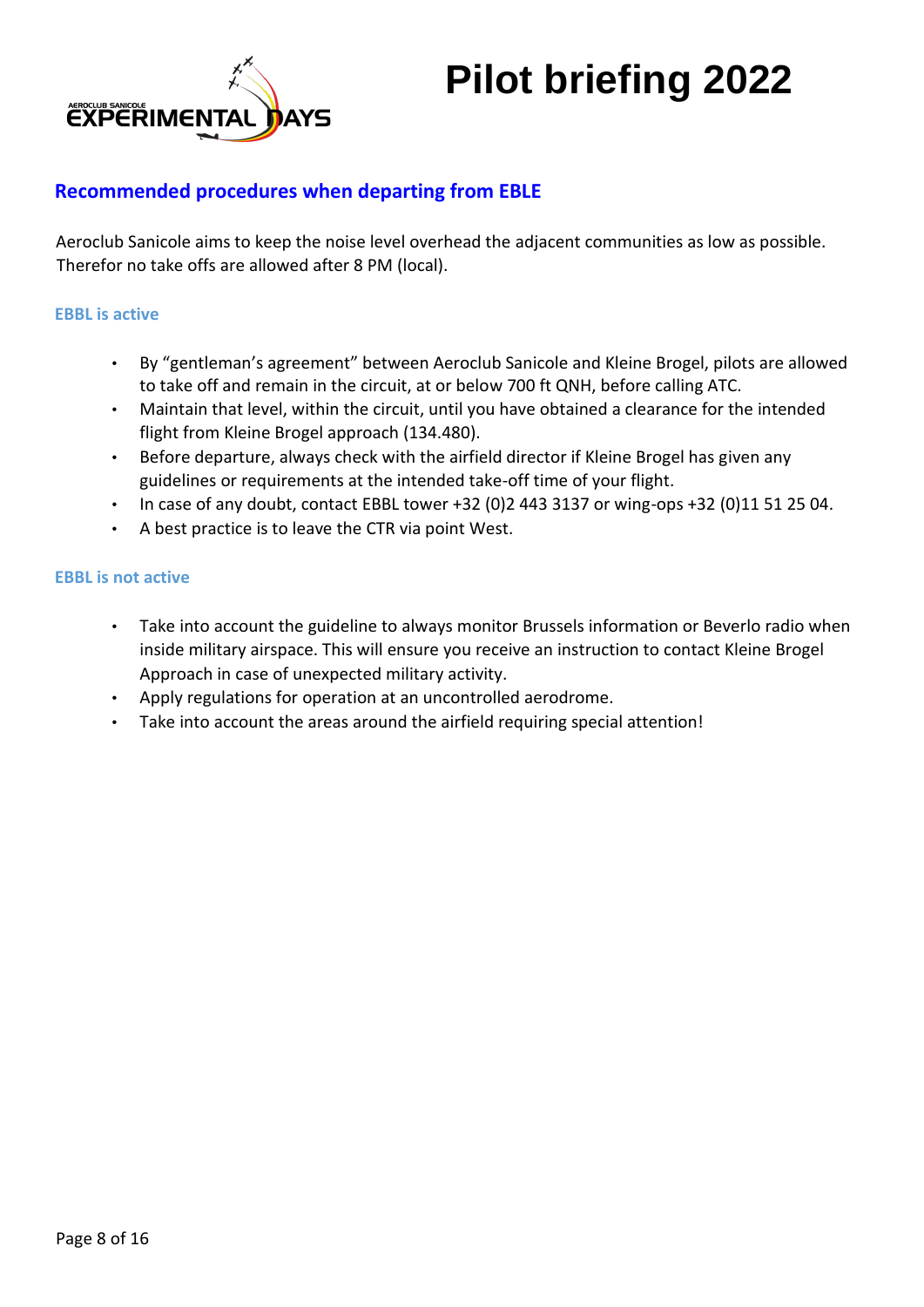

### **Recommended procedures when departing from EBLE**

Aeroclub Sanicole aims to keep the noise level overhead the adjacent communities as low as possible. Therefor no take offs are allowed after 8 PM (local).

### **EBBL is active**

- By "gentleman's agreement" between Aeroclub Sanicole and Kleine Brogel, pilots are allowed to take off and remain in the circuit, at or below 700 ft QNH, before calling ATC.
- Maintain that level, within the circuit, until you have obtained a clearance for the intended flight from Kleine Brogel approach (134.480).
- Before departure, always check with the airfield director if Kleine Brogel has given any guidelines or requirements at the intended take-off time of your flight.
- In case of any doubt, contact EBBL tower +32 (0)2 443 3137 or wing-ops +32 (0)11 51 25 04.
- A best practice is to leave the CTR via point West.

#### **EBBL is not active**

- Take into account the guideline to always monitor Brussels information or Beverlo radio when inside military airspace. This will ensure you receive an instruction to contact Kleine Brogel Approach in case of unexpected military activity.
- Apply regulations for operation at an uncontrolled aerodrome.
- Take into account the areas around the airfield requiring special attention!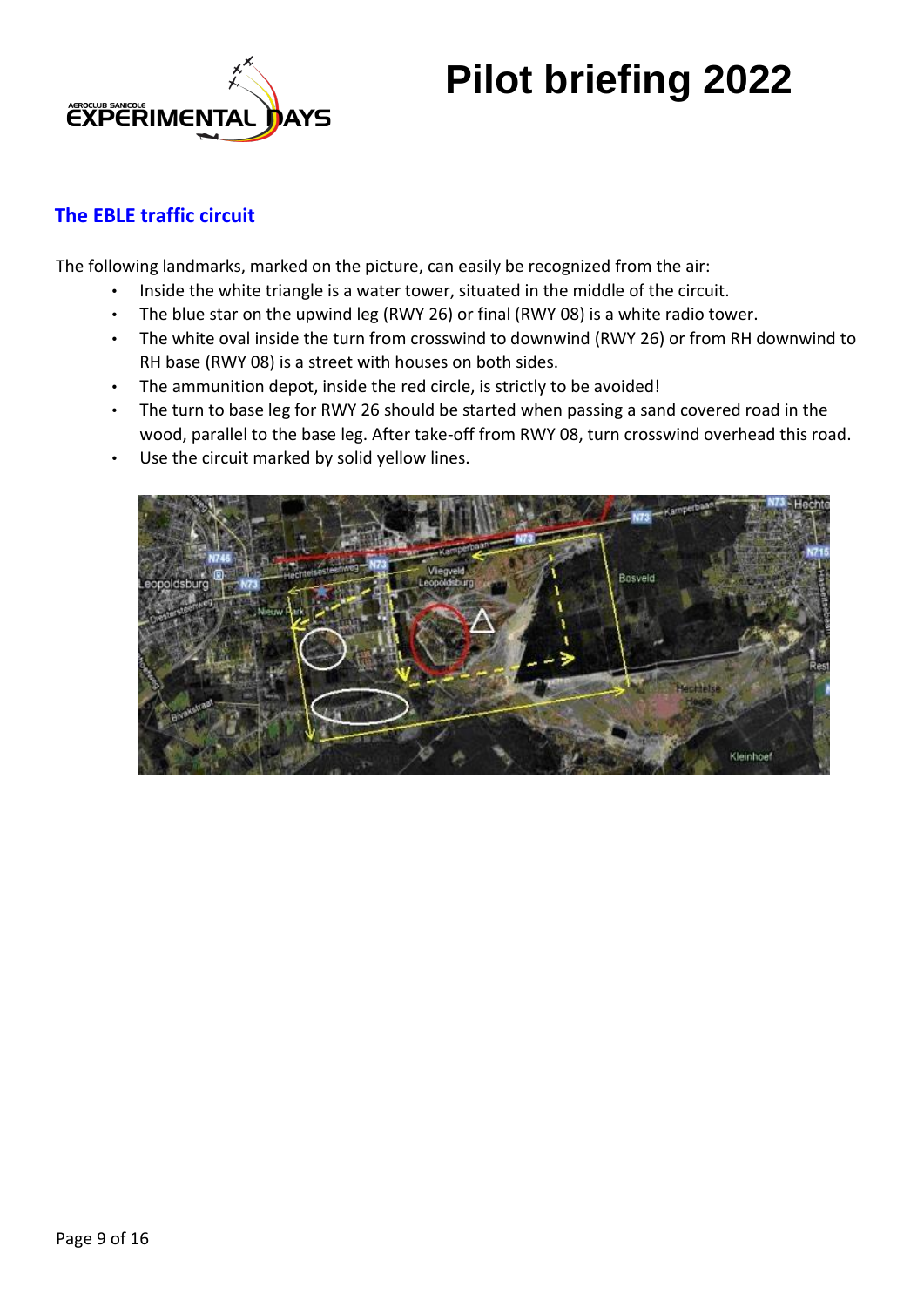

## **The EBLE traffic circuit**

The following landmarks, marked on the picture, can easily be recognized from the air:

- Inside the white triangle is a water tower, situated in the middle of the circuit.
- The blue star on the upwind leg (RWY 26) or final (RWY 08) is a white radio tower.
- The white oval inside the turn from crosswind to downwind (RWY 26) or from RH downwind to RH base (RWY 08) is a street with houses on both sides.
- The ammunition depot, inside the red circle, is strictly to be avoided!
- The turn to base leg for RWY 26 should be started when passing a sand covered road in the wood, parallel to the base leg. After take-off from RWY 08, turn crosswind overhead this road.
- Use the circuit marked by solid yellow lines.

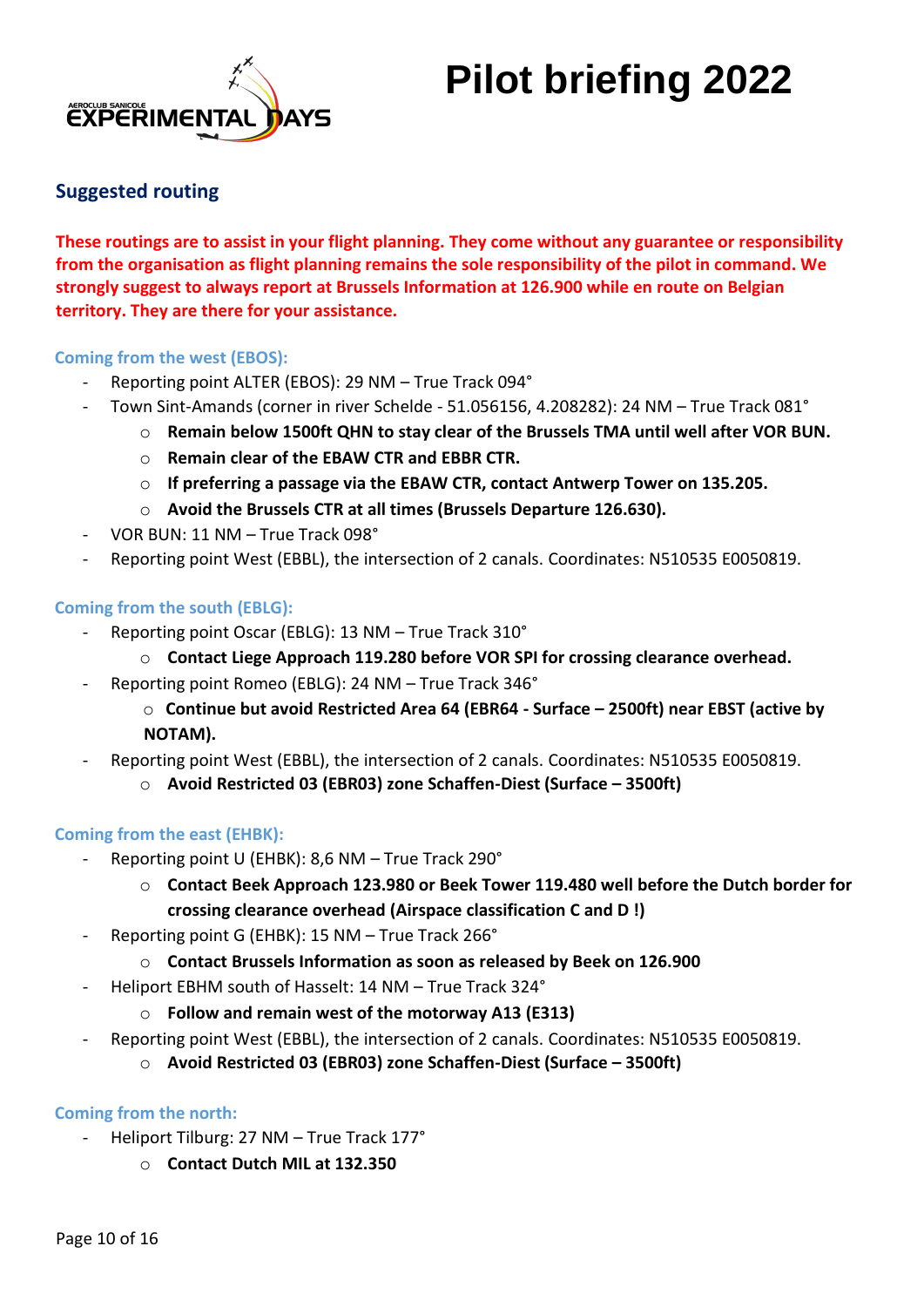

## **Suggested routing**

**These routings are to assist in your flight planning. They come without any guarantee or responsibility from the organisation as flight planning remains the sole responsibility of the pilot in command. We strongly suggest to always report at Brussels Information at 126.900 while en route on Belgian territory. They are there for your assistance.** 

### **Coming from the west (EBOS):**

- Reporting point ALTER (EBOS): 29 NM True Track 094°
	- Town Sint-Amands (corner in river Schelde 51.056156, 4.208282): 24 NM True Track 081°
		- o **Remain below 1500ft QHN to stay clear of the Brussels TMA until well after VOR BUN.**
		- o **Remain clear of the EBAW CTR and EBBR CTR.**
		- o **If preferring a passage via the EBAW CTR, contact Antwerp Tower on 135.205.**
		- o **Avoid the Brussels CTR at all times (Brussels Departure 126.630).**
- VOR BUN: 11 NM True Track 098°
- Reporting point West (EBBL), the intersection of 2 canals. Coordinates: N510535 E0050819.

### **Coming from the south (EBLG):**

- Reporting point Oscar (EBLG): 13 NM True Track 310°
	- o **Contact Liege Approach 119.280 before VOR SPI for crossing clearance overhead.**
- Reporting point Romeo (EBLG): 24 NM True Track 346°
	- o **Continue but avoid Restricted Area 64 (EBR64 - Surface – 2500ft) near EBST (active by NOTAM).**
- Reporting point West (EBBL), the intersection of 2 canals. Coordinates: N510535 E0050819.
	- o **Avoid Restricted 03 (EBR03) zone Schaffen-Diest (Surface – 3500ft)**

### **Coming from the east (EHBK):**

- Reporting point U (EHBK): 8,6 NM True Track 290°
	- o **Contact Beek Approach 123.980 or Beek Tower 119.480 well before the Dutch border for crossing clearance overhead (Airspace classification C and D !)**
- Reporting point G (EHBK): 15 NM True Track 266°
	- o **Contact Brussels Information as soon as released by Beek on 126.900**
- Heliport EBHM south of Hasselt: 14 NM True Track 324°
	- o **Follow and remain west of the motorway A13 (E313)**
- Reporting point West (EBBL), the intersection of 2 canals. Coordinates: N510535 E0050819.
	- o **Avoid Restricted 03 (EBR03) zone Schaffen-Diest (Surface – 3500ft)**

### **Coming from the north:**

- Heliport Tilburg: 27 NM True Track 177°
	- o **Contact Dutch MIL at 132.350**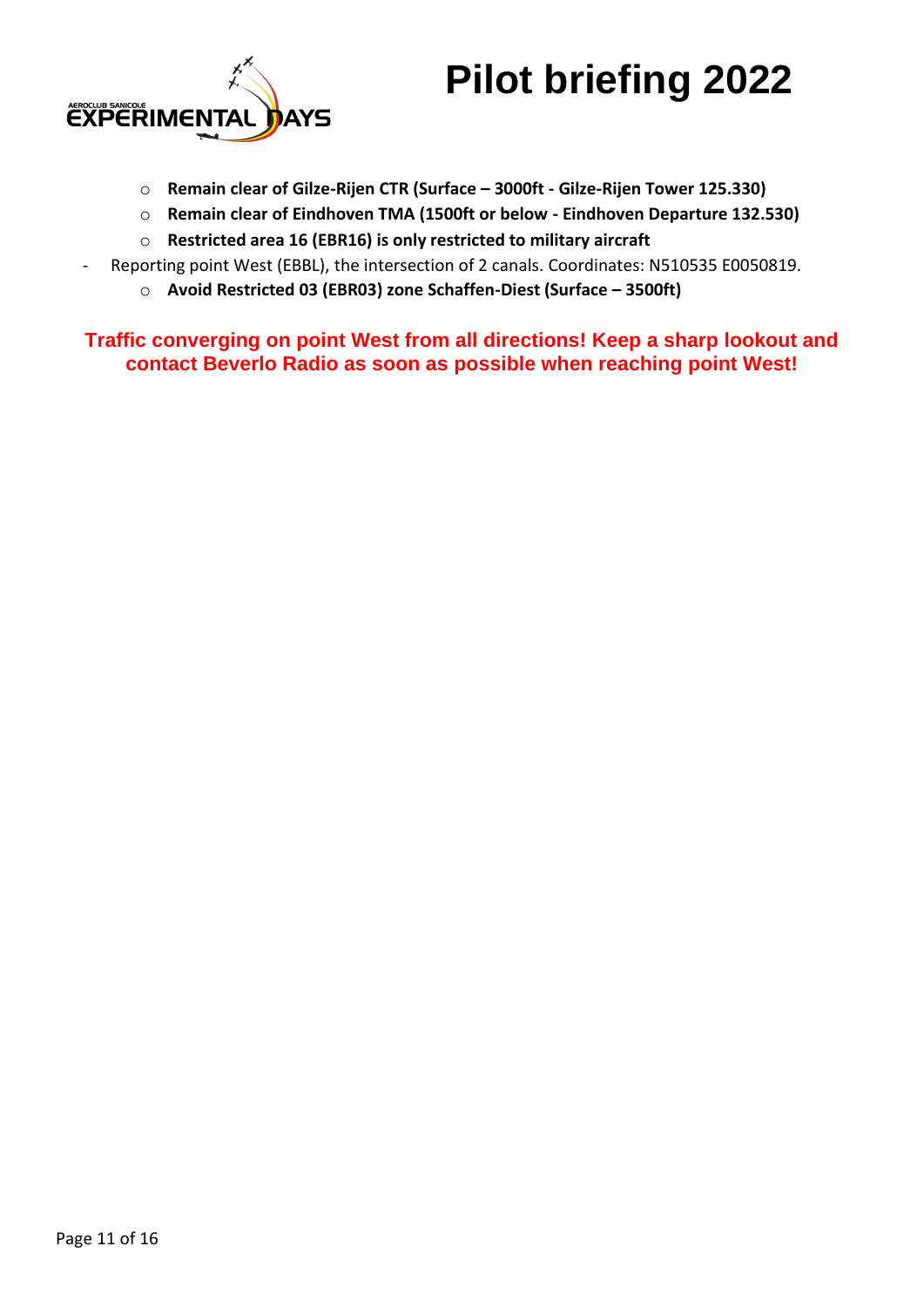



- o **Remain clear of Gilze-Rijen CTR (Surface – 3000ft - Gilze-Rijen Tower 125.330)**
- o **Remain clear of Eindhoven TMA (1500ft or below - Eindhoven Departure 132.530)**
- o **Restricted area 16 (EBR16) is only restricted to military aircraft**
- Reporting point West (EBBL), the intersection of 2 canals. Coordinates: N510535 E0050819.
	- o **Avoid Restricted 03 (EBR03) zone Schaffen-Diest (Surface – 3500ft)**

**Traffic converging on point West from all directions! Keep a sharp lookout and contact Beverlo Radio as soon as possible when reaching point West!**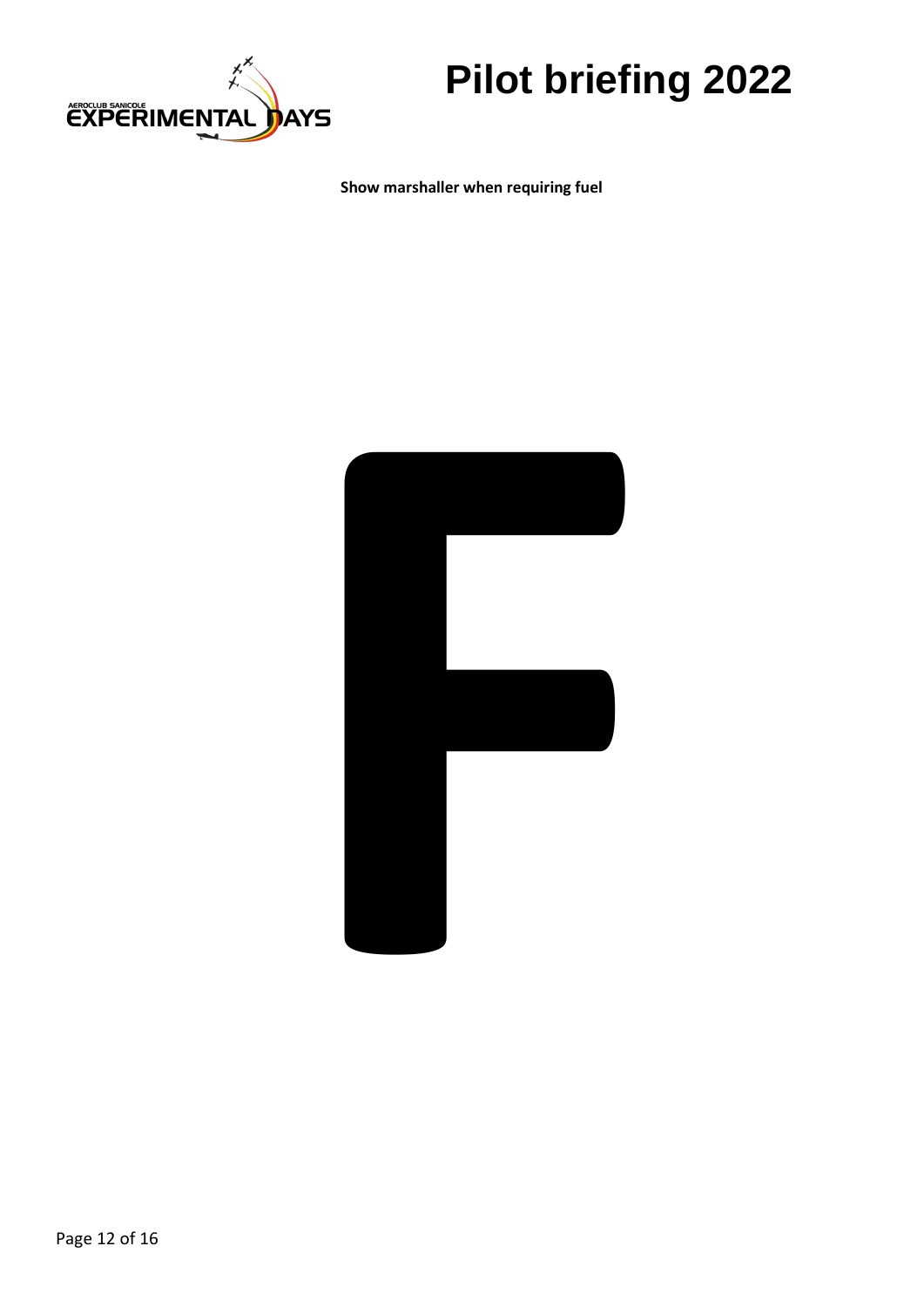

**Show marshaller when requiring fuel**

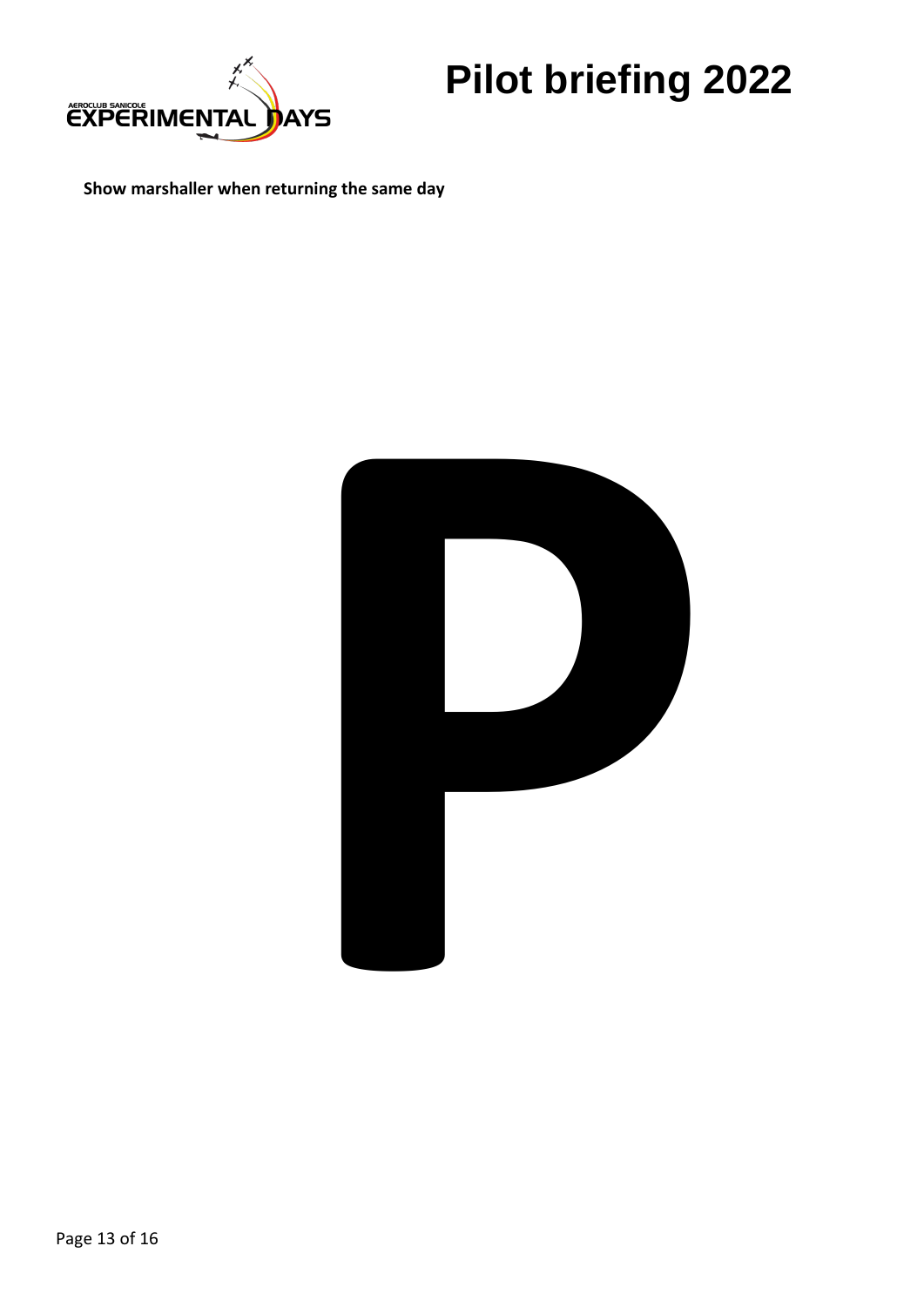

**Show marshaller when returning the same day**

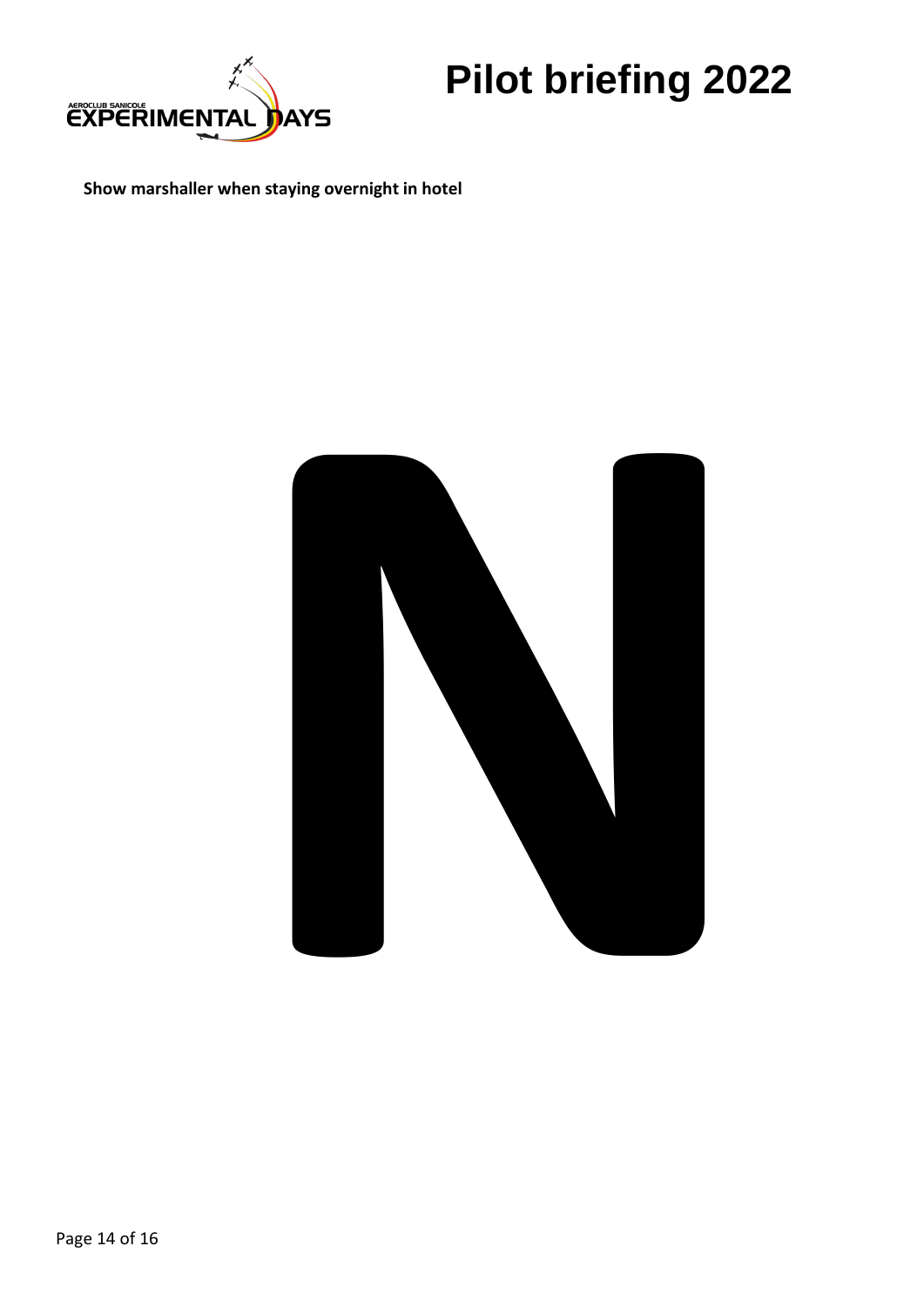

**Show marshaller when staying overnight in hotel**

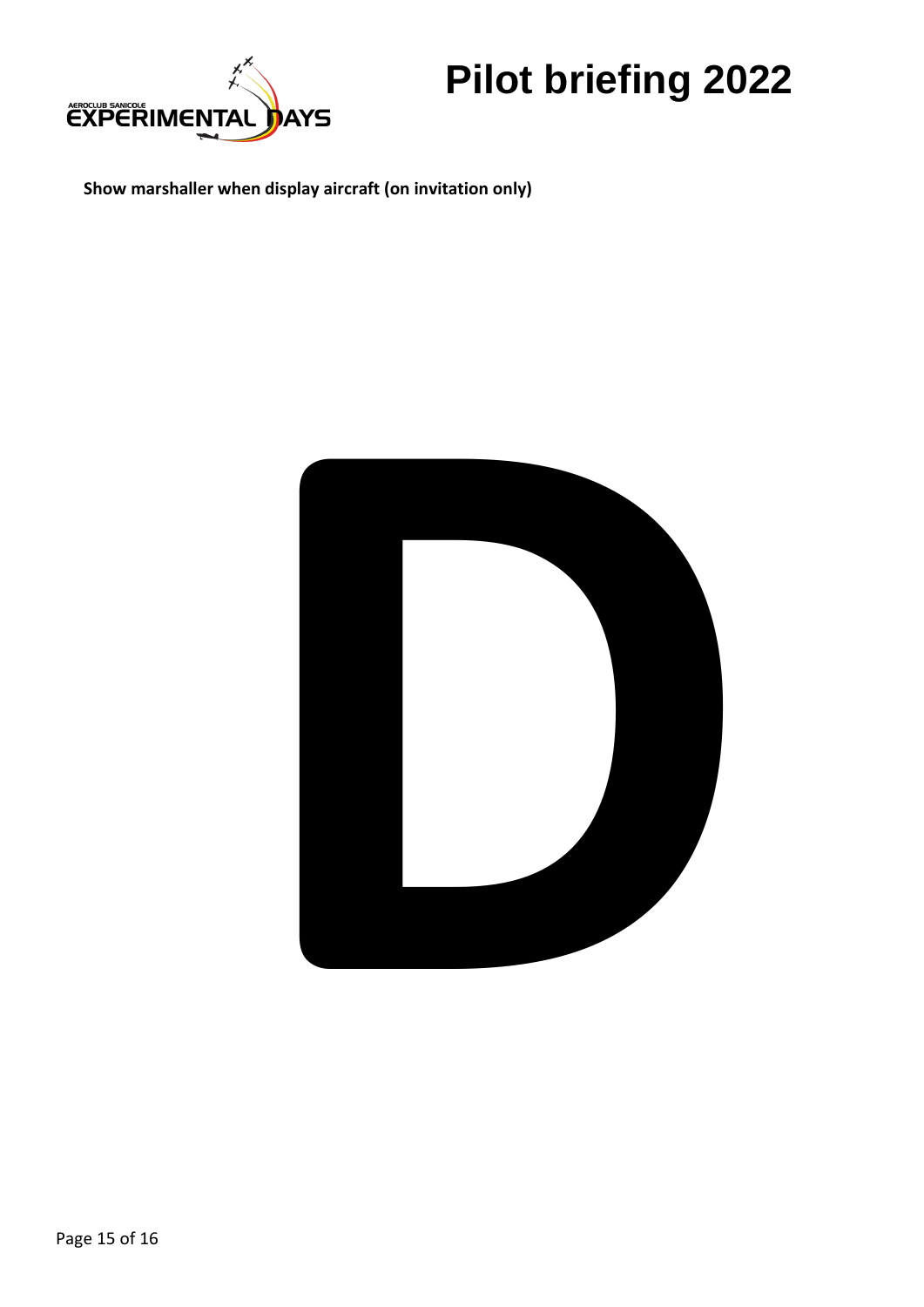

**Show marshaller when display aircraft (on invitation only)**